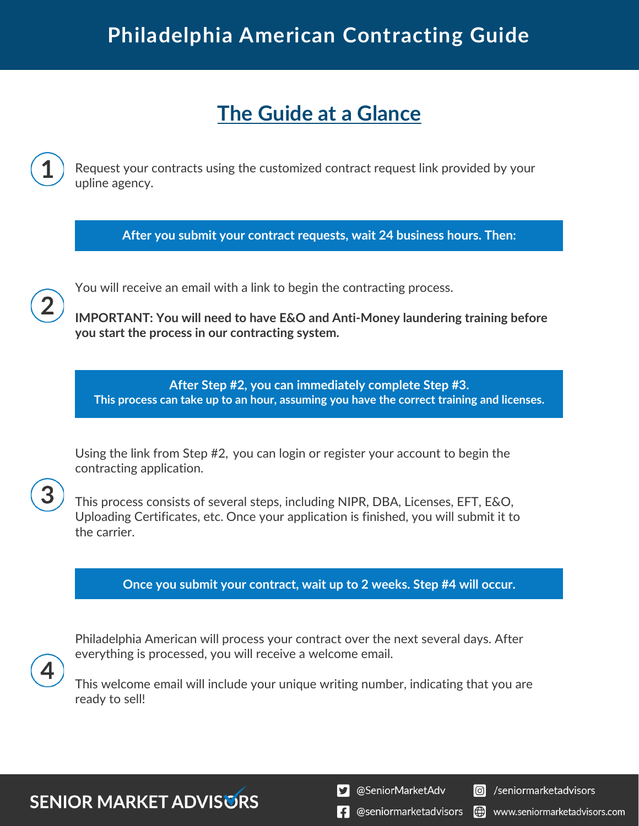# **Philadelphia American Contracting Guide**

## **The Guide at a Glance**

Request your contracts using the customized contract request link provided by your upline agency.

**After you submit your contract requests, wait 24 business hours. Then:**

You will receive an email with a link to begin the contracting process.

**IMPORTANT: You will need to have E&O and Anti-Money laundering training before you start the process in our contracting system.**

**After Step #2, you can immediately complete Step #3. This process can take up to an hour, assuming you have the correct training and licenses.**

Using the link from Step #2, you can login or register your account to begin the contracting application.

This process consists of several steps, including NIPR, DBA, Licenses, EFT, E&O, Uploading Certificates, etc. Once your application is finished, you will submit it to the carrier.

**Once you submit your contract, wait up to 2 weeks. Step #4 will occur.**

Philadelphia American will process your contract over the next several days. After everything is processed, you will receive a welcome email.

This welcome email will include your unique writing number, indicating that you are ready to sell!

**SENIOR MARKET ADVISURS** 

S @SeniorMarketAdv

Seniormarketadvisors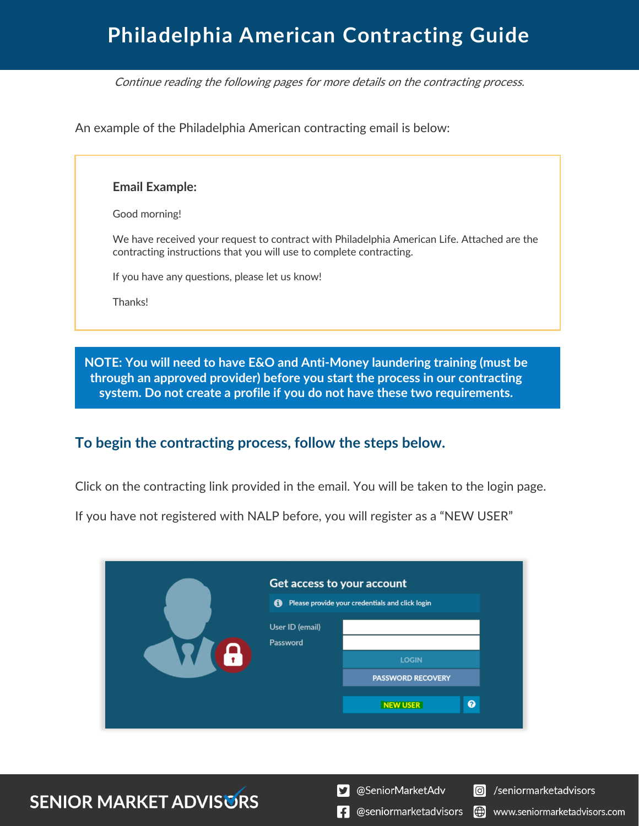# **Philadelphia American Contracting Guide**

Continue reading the following pages for more details on the contracting process.

An example of the Philadelphia American contracting email is below:

#### **Email Example:**

Good morning!

We have received your request to contract with Philadelphia American Life. Attached are the contracting instructions that you will use to complete contracting.

If you have any questions, please let us know!

Thanks!

**NOTE: You will need to have E&O and Anti-Money laundering training (must be through an approved provider) before you start the process in our contracting system. Do not create a profile if you do not have these two requirements.**

### **To begin the contracting process, follow the steps below.**

Click on the contracting link provided in the email. You will be taken to the login page.

If you have not registered with NALP before, you will register as a "NEW USER"

|  | Get access to your account<br>Ô | Please provide your credentials and click login |
|--|---------------------------------|-------------------------------------------------|
|  | User ID (email)<br>Password     | <b>LOGIN</b><br><b>PASSWORD RECOVERY</b>        |
|  |                                 | $\boldsymbol{\Omega}$<br><b>NEW USER</b>        |

### **SENIOR MARKET ADVISURS**

S @SeniorMarketAdv

Seniormarketadvisors

(.) www.seniormarketadvisors.com

 $\left| \cdot \right|$  @seniormarketadvisors